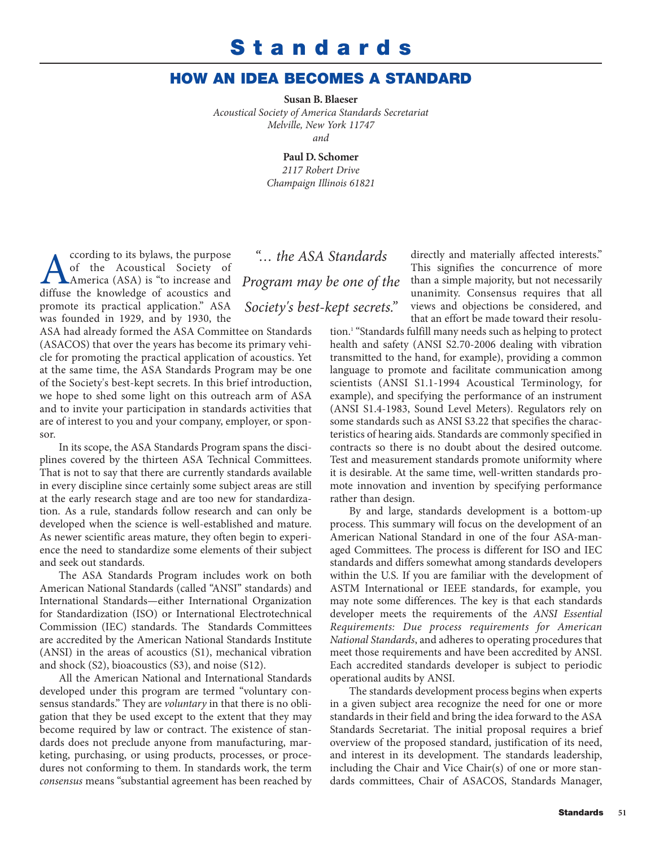## **Standards**

## **HOW AN IDEA BECOMES A STANDARD**

**Susan B. Blaeser**

*Acoustical Society of America Standards Secretariat Melville, New York 11747 and*

> **Paul D. Schomer** *2117 Robert Drive Champaign Illinois 61821*

Cording to its bylaws, the purpose<br>of the Acoustical Society of<br>diffuse the knowledge of acoustics and of the Acoustical Society of America (ASA) is "to increase and diffuse the knowledge of acoustics and promote its practical application." ASA was founded in 1929, and by 1930, the

ASA had already formed the ASA Committee on Standards (ASACOS) that over the years has become its primary vehicle for promoting the practical application of acoustics. Yet at the same time, the ASA Standards Program may be one of the Society's best-kept secrets. In this brief introduction, we hope to shed some light on this outreach arm of ASA and to invite your participation in standards activities that are of interest to you and your company, employer, or sponsor.

In its scope, the ASA Standards Program spans the disciplines covered by the thirteen ASA Technical Committees. That is not to say that there are currently standards available in every discipline since certainly some subject areas are still at the early research stage and are too new for standardization. As a rule, standards follow research and can only be developed when the science is well-established and mature. As newer scientific areas mature, they often begin to experience the need to standardize some elements of their subject and seek out standards.

The ASA Standards Program includes work on both American National Standards (called "ANSI" standards) and International Standards—either International Organization for Standardization (ISO) or International Electrotechnical Commission (IEC) standards. The Standards Committees are accredited by the American National Standards Institute (ANSI) in the areas of acoustics (S1), mechanical vibration and shock (S2), bioacoustics (S3), and noise (S12).

All the American National and International Standards developed under this program are termed "voluntary consensus standards." They are *voluntary* in that there is no obligation that they be used except to the extent that they may become required by law or contract. The existence of standards does not preclude anyone from manufacturing, marketing, purchasing, or using products, processes, or procedures not conforming to them. In standards work, the term *consensus* means "substantial agreement has been reached by

*"… the ASA Standards Program may be one of the Society's best-kept secrets."*

directly and materially affected interests." This signifies the concurrence of more than a simple majority, but not necessarily unanimity. Consensus requires that all views and objections be considered, and that an effort be made toward their resolu-

tion.1 "Standards fulfill many needs such as helping to protect health and safety (ANSI S2.70-2006 dealing with vibration transmitted to the hand, for example), providing a common language to promote and facilitate communication among scientists (ANSI S1.1-1994 Acoustical Terminology, for example), and specifying the performance of an instrument (ANSI S1.4-1983, Sound Level Meters). Regulators rely on some standards such as ANSI S3.22 that specifies the characteristics of hearing aids. Standards are commonly specified in contracts so there is no doubt about the desired outcome. Test and measurement standards promote uniformity where it is desirable. At the same time, well-written standards promote innovation and invention by specifying performance rather than design.

By and large, standards development is a bottom-up process. This summary will focus on the development of an American National Standard in one of the four ASA-managed Committees. The process is different for ISO and IEC standards and differs somewhat among standards developers within the U.S. If you are familiar with the development of ASTM International or IEEE standards, for example, you may note some differences. The key is that each standards developer meets the requirements of the *ANSI Essential Requirements: Due process requirements for American National Standards*, and adheres to operating procedures that meet those requirements and have been accredited by ANSI. Each accredited standards developer is subject to periodic operational audits by ANSI.

The standards development process begins when experts in a given subject area recognize the need for one or more standards in their field and bring the idea forward to the ASA Standards Secretariat. The initial proposal requires a brief overview of the proposed standard, justification of its need, and interest in its development. The standards leadership, including the Chair and Vice Chair(s) of one or more standards committees, Chair of ASACOS, Standards Manager,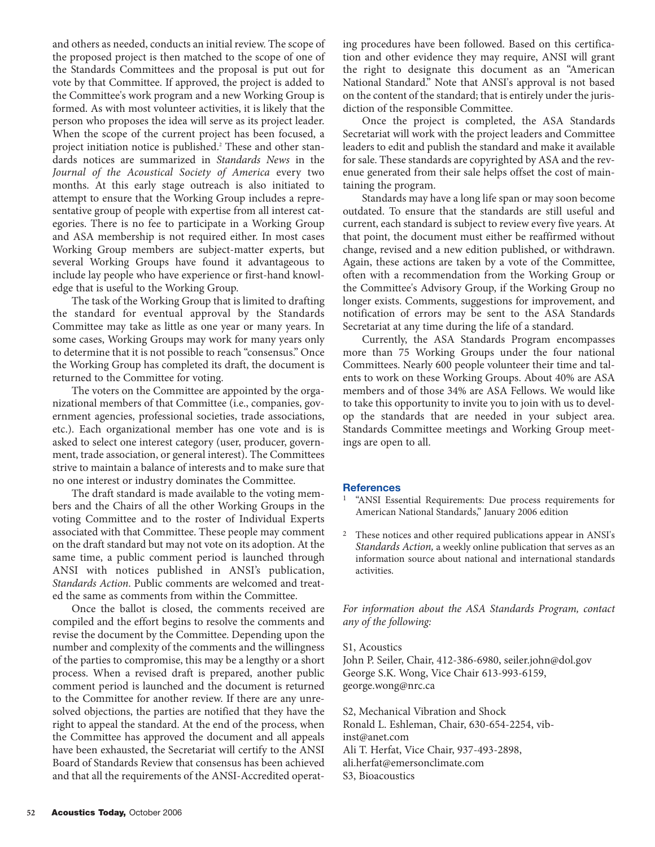and others as needed, conducts an initial review. The scope of the proposed project is then matched to the scope of one of the Standards Committees and the proposal is put out for vote by that Committee. If approved, the project is added to the Committee's work program and a new Working Group is formed. As with most volunteer activities, it is likely that the person who proposes the idea will serve as its project leader. When the scope of the current project has been focused, a project initiation notice is published.<sup>2</sup> These and other standards notices are summarized in *Standards News* in the *Journal of the Acoustical Society of America* every two months. At this early stage outreach is also initiated to attempt to ensure that the Working Group includes a representative group of people with expertise from all interest categories. There is no fee to participate in a Working Group and ASA membership is not required either. In most cases Working Group members are subject-matter experts, but several Working Groups have found it advantageous to include lay people who have experience or first-hand knowledge that is useful to the Working Group.

The task of the Working Group that is limited to drafting the standard for eventual approval by the Standards Committee may take as little as one year or many years. In some cases, Working Groups may work for many years only to determine that it is not possible to reach "consensus." Once the Working Group has completed its draft, the document is returned to the Committee for voting.

The voters on the Committee are appointed by the organizational members of that Committee (i.e., companies, government agencies, professional societies, trade associations, etc.). Each organizational member has one vote and is is asked to select one interest category (user, producer, government, trade association, or general interest). The Committees strive to maintain a balance of interests and to make sure that no one interest or industry dominates the Committee.

The draft standard is made available to the voting members and the Chairs of all the other Working Groups in the voting Committee and to the roster of Individual Experts associated with that Committee. These people may comment on the draft standard but may not vote on its adoption. At the same time, a public comment period is launched through ANSI with notices published in ANSI's publication, *Standards Action*. Public comments are welcomed and treated the same as comments from within the Committee.

Once the ballot is closed, the comments received are compiled and the effort begins to resolve the comments and revise the document by the Committee. Depending upon the number and complexity of the comments and the willingness of the parties to compromise, this may be a lengthy or a short process. When a revised draft is prepared, another public comment period is launched and the document is returned to the Committee for another review. If there are any unresolved objections, the parties are notified that they have the right to appeal the standard. At the end of the process, when the Committee has approved the document and all appeals have been exhausted, the Secretariat will certify to the ANSI Board of Standards Review that consensus has been achieved and that all the requirements of the ANSI-Accredited operating procedures have been followed. Based on this certification and other evidence they may require, ANSI will grant the right to designate this document as an "American National Standard." Note that ANSI's approval is not based on the content of the standard; that is entirely under the jurisdiction of the responsible Committee.

Once the project is completed, the ASA Standards Secretariat will work with the project leaders and Committee leaders to edit and publish the standard and make it available for sale. These standards are copyrighted by ASA and the revenue generated from their sale helps offset the cost of maintaining the program.

Standards may have a long life span or may soon become outdated. To ensure that the standards are still useful and current, each standard is subject to review every five years. At that point, the document must either be reaffirmed without change, revised and a new edition published, or withdrawn. Again, these actions are taken by a vote of the Committee, often with a recommendation from the Working Group or the Committee's Advisory Group, if the Working Group no longer exists. Comments, suggestions for improvement, and notification of errors may be sent to the ASA Standards Secretariat at any time during the life of a standard.

Currently, the ASA Standards Program encompasses more than 75 Working Groups under the four national Committees. Nearly 600 people volunteer their time and talents to work on these Working Groups. About 40% are ASA members and of those 34% are ASA Fellows. We would like to take this opportunity to invite you to join with us to develop the standards that are needed in your subject area. Standards Committee meetings and Working Group meetings are open to all.

## **References**

- 1 "ANSI Essential Requirements: Due process requirements for American National Standards," January 2006 edition
- 2 These notices and other required publications appear in ANSI's *Standards Action,* a weekly online publication that serves as an information source about national and international standards activities.

*For information about the ASA Standards Program, contact any of the following:*

## S1, Acoustics

John P. Seiler, Chair, 412-386-6980, [seiler.john@dol.gov](mailto:seiler.john@dol.gov) George S.K. Wong, Vice Chair 613-993-6159, [george.wong@nrc.ca](mailto:george.wong@nrc.ca)

S2, Mechanical Vibration and Shock [Ronald L. Eshleman, Chair, 630-654-2254, vib](mailto:vib-inst@anet.com)inst@[anet.com](mailto:vib-inst@anet.com) Ali T. Herfat, Vice Chair, 937-493-2898, [ali.herfat@emersonclimate.com](mailto:ali.herfat@emersonclimate.com) S3, Bioacoustics